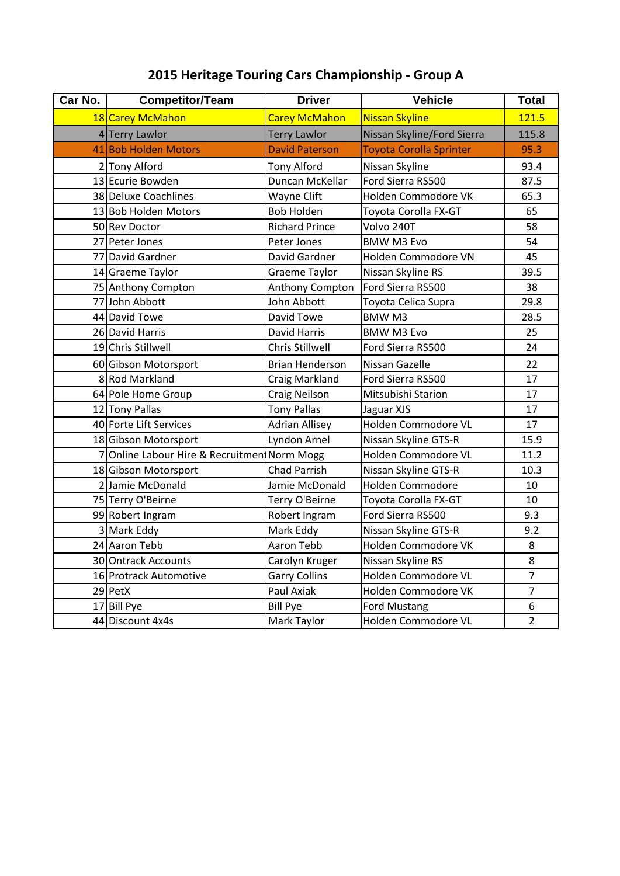## **2015 Heritage Touring Cars Championship - Group A**

| Car No. | <b>Competitor/Team</b>                       | <b>Driver</b>          | <b>Vehicle</b>                 | <b>Total</b>   |
|---------|----------------------------------------------|------------------------|--------------------------------|----------------|
|         | 18 Carey McMahon                             | <b>Carey McMahon</b>   | <b>Nissan Skyline</b>          | 121.5          |
|         | 4 Terry Lawlor                               | <b>Terry Lawlor</b>    | Nissan Skyline/Ford Sierra     | 115.8          |
|         | 41 Bob Holden Motors                         | <b>David Paterson</b>  | <b>Toyota Corolla Sprinter</b> | 95.3           |
|         | 2 Tony Alford                                | Tony Alford            | Nissan Skyline                 | 93.4           |
|         | 13 Ecurie Bowden                             | Duncan McKellar        | Ford Sierra RS500              | 87.5           |
|         | 38 Deluxe Coachlines                         | Wayne Clift            | Holden Commodore VK            | 65.3           |
|         | 13 Bob Holden Motors                         | <b>Bob Holden</b>      | Toyota Corolla FX-GT           | 65             |
|         | 50 Rev Doctor                                | <b>Richard Prince</b>  | Volvo 240T                     | 58             |
|         | 27 Peter Jones                               | Peter Jones            | <b>BMW M3 Evo</b>              | 54             |
|         | 77 David Gardner                             | David Gardner          | Holden Commodore VN            | 45             |
|         | 14 Graeme Taylor                             | <b>Graeme Taylor</b>   | Nissan Skyline RS              | 39.5           |
|         | 75 Anthony Compton                           | Anthony Compton        | Ford Sierra RS500              | 38             |
|         | 77 John Abbott                               | John Abbott            | Toyota Celica Supra            | 29.8           |
|         | 44 David Towe                                | David Towe             | <b>BMWM3</b>                   | 28.5           |
|         | 26 David Harris                              | <b>David Harris</b>    | <b>BMW M3 Evo</b>              | 25             |
|         | 19 Chris Stillwell                           | <b>Chris Stillwell</b> | Ford Sierra RS500              | 24             |
|         | 60 Gibson Motorsport                         | <b>Brian Henderson</b> | Nissan Gazelle                 | 22             |
|         | 8 Rod Markland                               | Craig Markland         | Ford Sierra RS500              | 17             |
|         | 64 Pole Home Group                           | <b>Craig Neilson</b>   | Mitsubishi Starion             | 17             |
|         | 12 Tony Pallas                               | <b>Tony Pallas</b>     | Jaguar XJS                     | 17             |
|         | 40 Forte Lift Services                       | <b>Adrian Allisey</b>  | Holden Commodore VL            | 17             |
|         | 18 Gibson Motorsport                         | Lyndon Arnel           | Nissan Skyline GTS-R           | 15.9           |
|         | 7 Online Labour Hire & Recruitment Norm Mogg |                        | Holden Commodore VL            | 11.2           |
|         | 18 Gibson Motorsport                         | <b>Chad Parrish</b>    | Nissan Skyline GTS-R           | 10.3           |
|         | 2 Jamie McDonald                             | Jamie McDonald         | Holden Commodore               | 10             |
|         | 75 Terry O'Beirne                            | Terry O'Beirne         | Toyota Corolla FX-GT           | 10             |
|         | 99 Robert Ingram                             | Robert Ingram          | Ford Sierra RS500              | 9.3            |
|         | 3 Mark Eddy                                  | Mark Eddy              | Nissan Skyline GTS-R           | 9.2            |
|         | 24 Aaron Tebb                                | Aaron Tebb             | Holden Commodore VK            | $\bf 8$        |
|         | 30 Ontrack Accounts                          | Carolyn Kruger         | Nissan Skyline RS              | 8              |
|         | 16 Protrack Automotive                       | <b>Garry Collins</b>   | Holden Commodore VL            | $\overline{7}$ |
|         | 29 PetX                                      | Paul Axiak             | Holden Commodore VK            | $\overline{7}$ |
|         | 17 Bill Pye                                  | <b>Bill Pye</b>        | Ford Mustang                   | 6              |
|         | 44 Discount 4x4s                             | Mark Taylor            | Holden Commodore VL            | $\overline{2}$ |